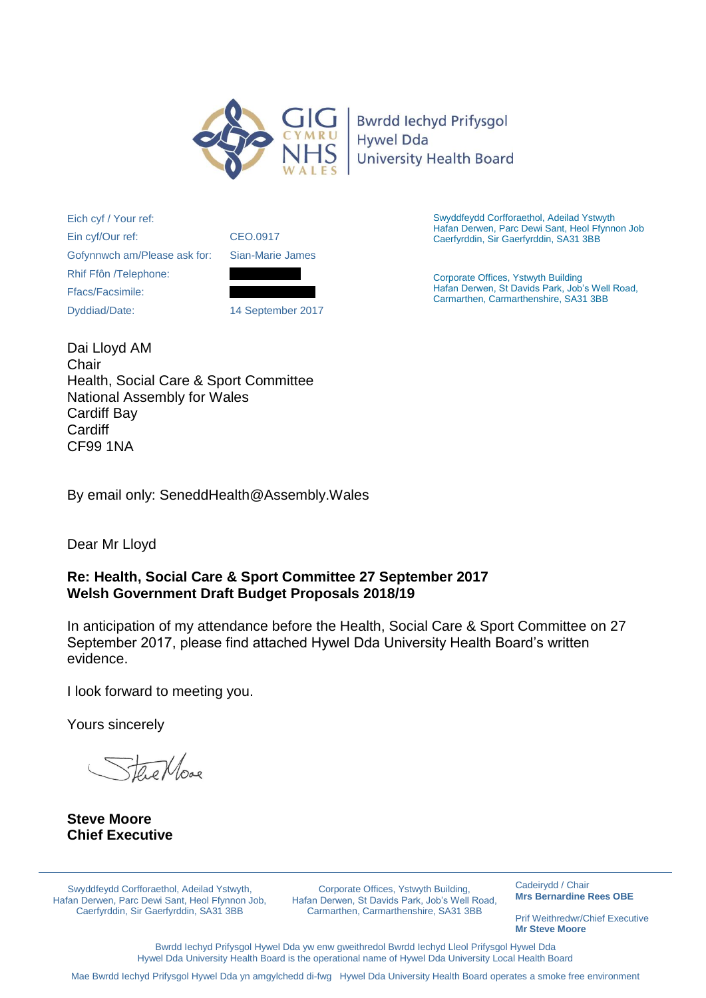

**Bwrdd lechyd Prifysgol Hywel Dda University Health Board** 

Eich cyf / Your ref: Ein cyf/Our ref: Gofynnwch am/Please ask for: Rhif Ffôn /Telephone: Ffacs/Facsimile: Dyddiad/Date:



14 September 2017

Swyddfeydd Corfforaethol, Adeilad Ystwyth Hafan Derwen, Parc Dewi Sant, Heol Ffynnon Job Caerfyrddin, Sir Gaerfyrddin, SA31 3BB

Corporate Offices, Ystwyth Building Hafan Derwen, St Davids Park, Job's Well Road, Carmarthen, Carmarthenshire, SA31 3BB

Dai Lloyd AM **Chair** Health, Social Care & Sport Committee National Assembly for Wales Cardiff Bay Cardiff CF99 1NA

By email only: SeneddHealth@Assembly.Wales

Dear Mr Lloyd

# **Re: Health, Social Care & Sport Committee 27 September 2017 Welsh Government Draft Budget Proposals 2018/19**

In anticipation of my attendance before the Health, Social Care & Sport Committee on 27 September 2017, please find attached Hywel Dda University Health Board's written evidence.

I look forward to meeting you.

Yours sincerely

the Move

**Steve Moore Chief Executive** 

Swyddfeydd Corfforaethol, Adeilad Ystwyth, Hafan Derwen, Parc Dewi Sant, Heol Ffynnon Job, Caerfyrddin, Sir Gaerfyrddin, SA31 3BB

Corporate Offices, Ystwyth Building, Hafan Derwen, St Davids Park, Job's Well Road, Carmarthen, Carmarthenshire, SA31 3BB

Cadeirydd / Chair **Mrs Bernardine Rees OBE**

Prif Weithredwr/Chief Executive **Mr Steve Moore** 

Bwrdd Iechyd Prifysgol Hywel Dda yw enw gweithredol Bwrdd Iechyd Lleol Prifysgol Hywel Dda Hywel Dda University Health Board is the operational name of Hywel Dda University Local Health Board

Mae Bwrdd Iechyd Prifysgol Hywel Dda yn amgylchedd di-fwg Hywel Dda University Health Board operates a smoke free environment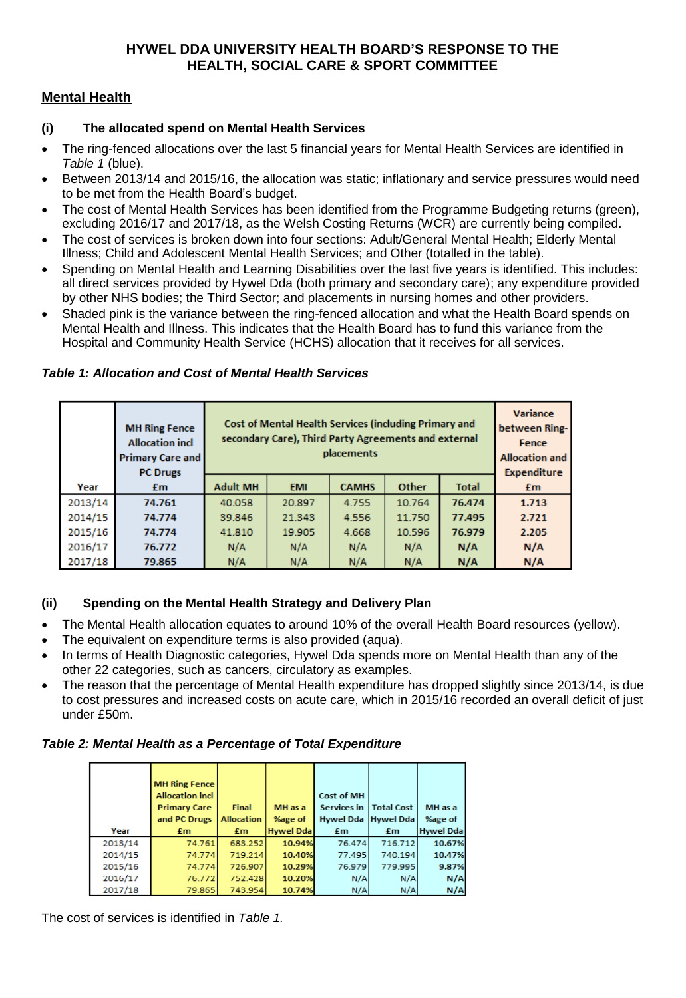# **HYWEL DDA UNIVERSITY HEALTH BOARD'S RESPONSE TO THE HEALTH, SOCIAL CARE & SPORT COMMITTEE**

# **Mental Health**

#### **(i) The allocated spend on Mental Health Services**

- The ring-fenced allocations over the last 5 financial years for Mental Health Services are identified in *Table 1* (blue).
- Between 2013/14 and 2015/16, the allocation was static; inflationary and service pressures would need to be met from the Health Board's budget.
- The cost of Mental Health Services has been identified from the Programme Budgeting returns (green), excluding 2016/17 and 2017/18, as the Welsh Costing Returns (WCR) are currently being compiled.
- The cost of services is broken down into four sections: Adult/General Mental Health; Elderly Mental Illness; Child and Adolescent Mental Health Services; and Other (totalled in the table).
- Spending on Mental Health and Learning Disabilities over the last five years is identified. This includes: all direct services provided by Hywel Dda (both primary and secondary care); any expenditure provided by other NHS bodies; the Third Sector; and placements in nursing homes and other providers.
- Shaded pink is the variance between the ring-fenced allocation and what the Health Board spends on Mental Health and Illness. This indicates that the Health Board has to fund this variance from the Hospital and Community Health Service (HCHS) allocation that it receives for all services.

|         | <b>MH Ring Fence</b><br><b>Allocation incl</b><br><b>Primary Care and</b><br><b>PC Drugs</b> | <b>Cost of Mental Health Services (including Primary and</b><br>secondary Care), Third Party Agreements and external<br>placements |            |              |        | <b>Variance</b><br>between Ring-<br>Fence<br><b>Allocation and</b><br>Expenditure |       |
|---------|----------------------------------------------------------------------------------------------|------------------------------------------------------------------------------------------------------------------------------------|------------|--------------|--------|-----------------------------------------------------------------------------------|-------|
| Year    | £m                                                                                           | <b>Adult MH</b>                                                                                                                    | <b>EMI</b> | <b>CAMHS</b> | Other  | <b>Total</b>                                                                      | £m    |
| 2013/14 | 74.761                                                                                       | 40.058                                                                                                                             | 20.897     | 4.755        | 10.764 | 76.474                                                                            | 1.713 |
| 2014/15 | 74.774                                                                                       | 39.846                                                                                                                             | 21.343     | 4.556        | 11.750 | 77.495                                                                            | 2.721 |
| 2015/16 | 74.774                                                                                       | 41.810                                                                                                                             | 19.905     | 4.668        | 10.596 | 76.979                                                                            | 2.205 |
| 2016/17 | 76.772                                                                                       | N/A                                                                                                                                | N/A        | N/A          | N/A    | N/A                                                                               | N/A   |
| 2017/18 | 79.865                                                                                       | N/A                                                                                                                                | N/A        | N/A          | N/A    | N/A                                                                               | N/A   |

#### *Table 1: Allocation and Cost of Mental Health Services*

# **(ii) Spending on the Mental Health Strategy and Delivery Plan**

- The Mental Health allocation equates to around 10% of the overall Health Board resources (yellow).
- The equivalent on expenditure terms is also provided (aqua).
- In terms of Health Diagnostic categories, Hywel Dda spends more on Mental Health than any of the other 22 categories, such as cancers, circulatory as examples.
- The reason that the percentage of Mental Health expenditure has dropped slightly since 2013/14, is due to cost pressures and increased costs on acute care, which in 2015/16 recorded an overall deficit of just under £50m.

# *Table 2: Mental Health as a Percentage of Total Expenditure*

| Year    | <b>MH Ring Fence</b><br><b>Allocation incl</b><br><b>Primary Care</b><br>and PC Drugs<br>£m | <b>Final</b><br><b>Allocation</b><br>£m | MH as a<br>%age of<br><b>Hywel Dda</b> | <b>Cost of MH</b><br>Services in<br>Hywel Dda   Hywel Dda  <br>£m | <b>Total Cost</b><br>£m | MH as a<br>%age of<br><b>Hywel Dda</b> |
|---------|---------------------------------------------------------------------------------------------|-----------------------------------------|----------------------------------------|-------------------------------------------------------------------|-------------------------|----------------------------------------|
| 2013/14 | 74.761                                                                                      | 683.252                                 | 10.94%                                 | 76.474                                                            | 716.712                 | 10.67%                                 |
| 2014/15 | 74.774                                                                                      | 719.214                                 | 10.40%                                 | 77.495                                                            | 740.194                 | 10.47%                                 |
| 2015/16 | 74.774                                                                                      | 726.907                                 | 10.29%                                 | 76.979                                                            | 779.995                 | 9.87%                                  |
| 2016/17 | 76.772                                                                                      | 752.428                                 | 10.20%                                 | N/A                                                               | N/A                     | N/A                                    |
| 2017/18 | 79.865                                                                                      | 743.954                                 | 10.74%                                 | N/A                                                               | N/A                     | N/A                                    |

The cost of services is identified in *Table 1.*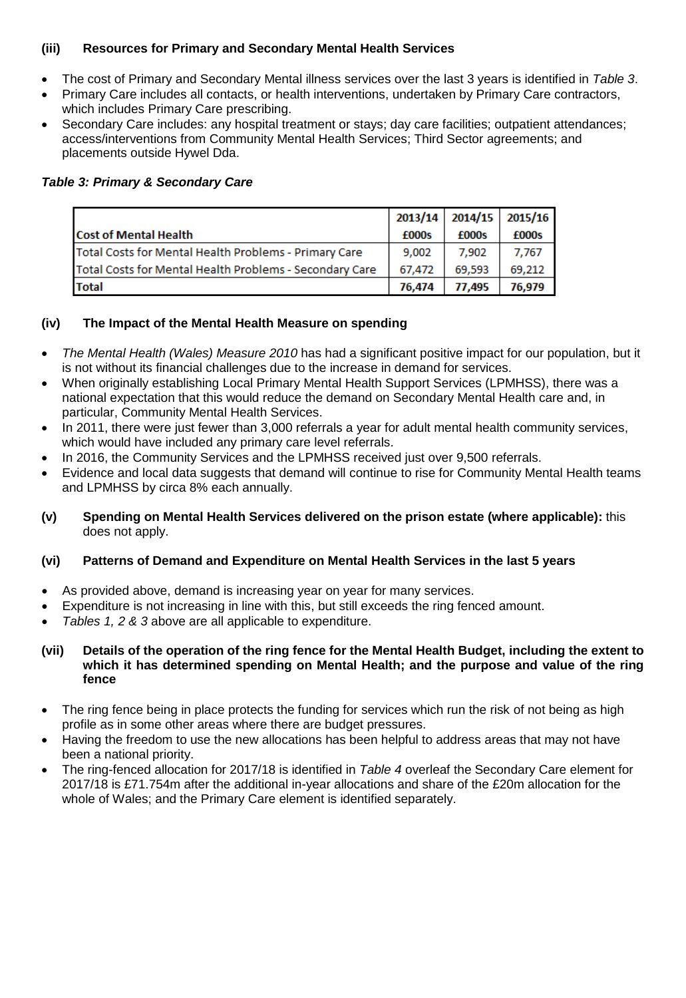# **(iii) Resources for Primary and Secondary Mental Health Services**

- The cost of Primary and Secondary Mental illness services over the last 3 years is identified in *Table 3*.
- Primary Care includes all contacts, or health interventions, undertaken by Primary Care contractors, which includes Primary Care prescribing.
- Secondary Care includes: any hospital treatment or stays; day care facilities; outpatient attendances; access/interventions from Community Mental Health Services; Third Sector agreements; and placements outside Hywel Dda.

#### *Table 3: Primary & Secondary Care*

|                                                         |              |              | 2013/14 2014/15 2015/16 |
|---------------------------------------------------------|--------------|--------------|-------------------------|
| <b>Cost of Mental Health</b>                            | <b>f000s</b> | <b>f000s</b> | £000s                   |
| Total Costs for Mental Health Problems - Primary Care   | 9,002        | 7,902        | 7.767                   |
| Total Costs for Mental Health Problems - Secondary Care | 67,472       | 69,593       | 69,212                  |
| <b>Total</b>                                            | 76,474       | 77,495       | 76,979                  |

#### **(iv) The Impact of the Mental Health Measure on spending**

- *The Mental Health (Wales) Measure 2010* has had a significant positive impact for our population, but it is not without its financial challenges due to the increase in demand for services.
- When originally establishing Local Primary Mental Health Support Services (LPMHSS), there was a national expectation that this would reduce the demand on Secondary Mental Health care and, in particular, Community Mental Health Services.
- In 2011, there were just fewer than 3,000 referrals a year for adult mental health community services, which would have included any primary care level referrals.
- In 2016, the Community Services and the LPMHSS received just over 9,500 referrals.
- Evidence and local data suggests that demand will continue to rise for Community Mental Health teams and LPMHSS by circa 8% each annually.
- **(v) Spending on Mental Health Services delivered on the prison estate (where applicable):** this does not apply.

# **(vi) Patterns of Demand and Expenditure on Mental Health Services in the last 5 years**

- As provided above, demand is increasing year on year for many services.
- Expenditure is not increasing in line with this, but still exceeds the ring fenced amount.
- *Tables 1, 2 & 3* above are all applicable to expenditure.

#### **(vii) Details of the operation of the ring fence for the Mental Health Budget, including the extent to which it has determined spending on Mental Health; and the purpose and value of the ring fence**

- The ring fence being in place protects the funding for services which run the risk of not being as high profile as in some other areas where there are budget pressures.
- Having the freedom to use the new allocations has been helpful to address areas that may not have been a national priority.
- The ring-fenced allocation for 2017/18 is identified in *Table 4* overleaf the Secondary Care element for 2017/18 is £71.754m after the additional in-year allocations and share of the £20m allocation for the whole of Wales; and the Primary Care element is identified separately.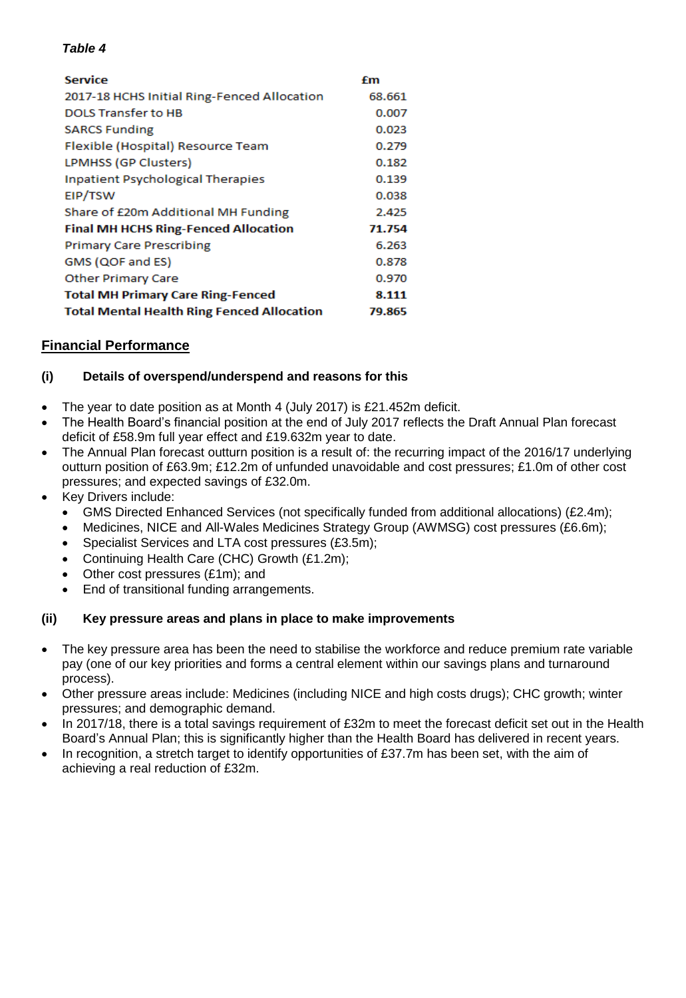#### *Table 4*

| <b>Service</b>                                    | £m     |
|---------------------------------------------------|--------|
| 2017-18 HCHS Initial Ring-Fenced Allocation       | 68.661 |
| <b>DOLS Transfer to HB</b>                        | 0.007  |
| <b>SARCS Funding</b>                              | 0.023  |
| Flexible (Hospital) Resource Team                 | 0.279  |
| LPMHSS (GP Clusters)                              | 0.182  |
| <b>Inpatient Psychological Therapies</b>          | 0.139  |
| EIP/TSW                                           | 0.038  |
| Share of £20m Additional MH Funding               | 2.425  |
| <b>Final MH HCHS Ring-Fenced Allocation</b>       | 71.754 |
| <b>Primary Care Prescribing</b>                   | 6.263  |
| GMS (QOF and ES)                                  | 0.878  |
| <b>Other Primary Care</b>                         | 0.970  |
| <b>Total MH Primary Care Ring-Fenced</b>          | 8.111  |
| <b>Total Mental Health Ring Fenced Allocation</b> | 79.865 |

# **Financial Performance**

# **(i) Details of overspend/underspend and reasons for this**

- The year to date position as at Month 4 (July 2017) is £21.452m deficit.
- The Health Board's financial position at the end of July 2017 reflects the Draft Annual Plan forecast deficit of £58.9m full year effect and £19.632m year to date.
- The Annual Plan forecast outturn position is a result of: the recurring impact of the 2016/17 underlying outturn position of £63.9m; £12.2m of unfunded unavoidable and cost pressures; £1.0m of other cost pressures; and expected savings of £32.0m.
- Key Drivers include:
	- GMS Directed Enhanced Services (not specifically funded from additional allocations) (£2.4m);
	- Medicines, NICE and All-Wales Medicines Strategy Group (AWMSG) cost pressures (£6.6m);
	- Specialist Services and LTA cost pressures (£3.5m);
	- Continuing Health Care (CHC) Growth (£1.2m);
	- Other cost pressures (£1m); and
	- End of transitional funding arrangements.

# **(ii) Key pressure areas and plans in place to make improvements**

- The key pressure area has been the need to stabilise the workforce and reduce premium rate variable pay (one of our key priorities and forms a central element within our savings plans and turnaround process).
- Other pressure areas include: Medicines (including NICE and high costs drugs); CHC growth; winter pressures; and demographic demand.
- In 2017/18, there is a total savings requirement of £32m to meet the forecast deficit set out in the Health Board's Annual Plan; this is significantly higher than the Health Board has delivered in recent years.
- In recognition, a stretch target to identify opportunities of £37.7m has been set, with the aim of achieving a real reduction of £32m.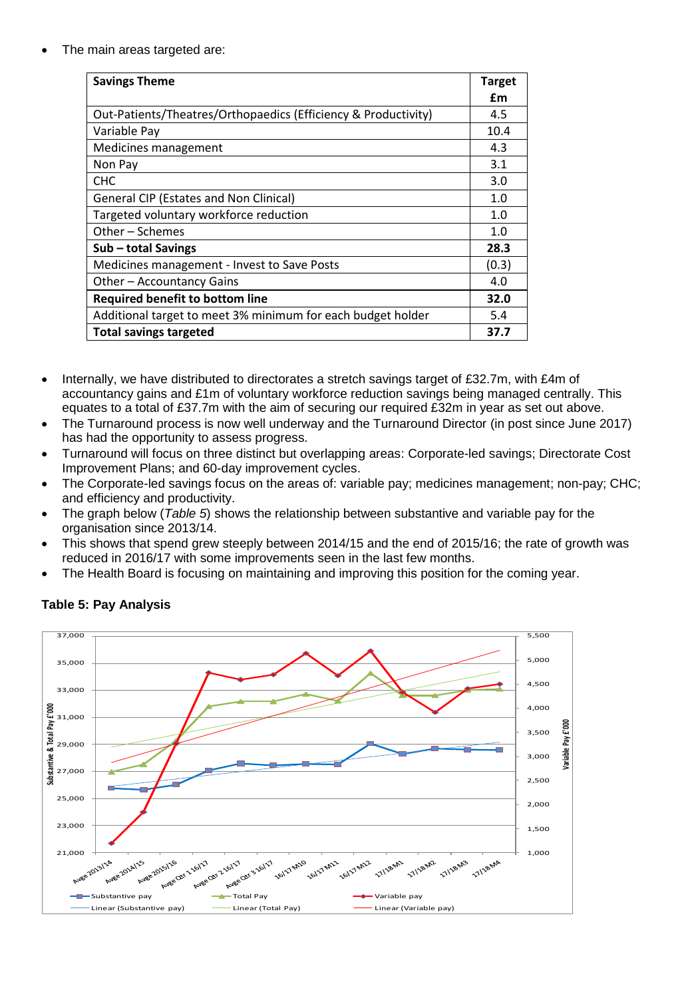The main areas targeted are:

| <b>Savings Theme</b>                                           | <b>Target</b> |
|----------------------------------------------------------------|---------------|
|                                                                | £m            |
| Out-Patients/Theatres/Orthopaedics (Efficiency & Productivity) | 4.5           |
| Variable Pay                                                   | 10.4          |
| Medicines management                                           | 4.3           |
| Non Pay                                                        | 3.1           |
| <b>CHC</b>                                                     | 3.0           |
| <b>General CIP (Estates and Non Clinical)</b>                  | 1.0           |
| Targeted voluntary workforce reduction                         | 1.0           |
| Other - Schemes                                                | 1.0           |
| Sub - total Savings                                            | 28.3          |
| Medicines management - Invest to Save Posts                    | (0.3)         |
| Other - Accountancy Gains                                      | 4.0           |
| <b>Required benefit to bottom line</b>                         | 32.0          |
| Additional target to meet 3% minimum for each budget holder    | 5.4           |
| <b>Total savings targeted</b>                                  | 37.7          |

- Internally, we have distributed to directorates a stretch savings target of £32.7m, with £4m of accountancy gains and £1m of voluntary workforce reduction savings being managed centrally. This equates to a total of £37.7m with the aim of securing our required £32m in year as set out above.
- The Turnaround process is now well underway and the Turnaround Director (in post since June 2017) has had the opportunity to assess progress.
- Turnaround will focus on three distinct but overlapping areas: Corporate-led savings; Directorate Cost Improvement Plans; and 60-day improvement cycles.
- The Corporate-led savings focus on the areas of: variable pay; medicines management; non-pay; CHC; and efficiency and productivity.
- The graph below (*Table 5*) shows the relationship between substantive and variable pay for the organisation since 2013/14.
- This shows that spend grew steeply between 2014/15 and the end of 2015/16; the rate of growth was reduced in 2016/17 with some improvements seen in the last few months.
- The Health Board is focusing on maintaining and improving this position for the coming year.



# **Table 5: Pay Analysis**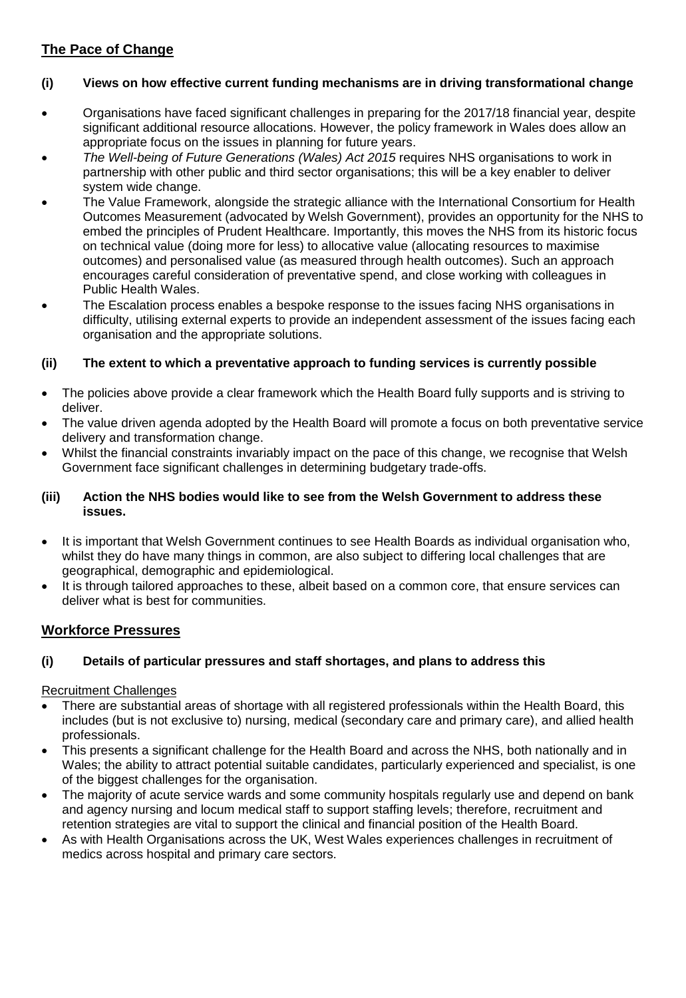# **The Pace of Change**

#### **(i) Views on how effective current funding mechanisms are in driving transformational change**

- Organisations have faced significant challenges in preparing for the 2017/18 financial year, despite significant additional resource allocations. However, the policy framework in Wales does allow an appropriate focus on the issues in planning for future years.
- *The Well-being of Future Generations (Wales) Act 2015* requires NHS organisations to work in partnership with other public and third sector organisations; this will be a key enabler to deliver system wide change.
- The Value Framework, alongside the strategic alliance with the International Consortium for Health Outcomes Measurement (advocated by Welsh Government), provides an opportunity for the NHS to embed the principles of Prudent Healthcare. Importantly, this moves the NHS from its historic focus on technical value (doing more for less) to allocative value (allocating resources to maximise outcomes) and personalised value (as measured through health outcomes). Such an approach encourages careful consideration of preventative spend, and close working with colleagues in Public Health Wales.
- The Escalation process enables a bespoke response to the issues facing NHS organisations in difficulty, utilising external experts to provide an independent assessment of the issues facing each organisation and the appropriate solutions.

#### **(ii) The extent to which a preventative approach to funding services is currently possible**

- The policies above provide a clear framework which the Health Board fully supports and is striving to deliver.
- The value driven agenda adopted by the Health Board will promote a focus on both preventative service delivery and transformation change.
- Whilst the financial constraints invariably impact on the pace of this change, we recognise that Welsh Government face significant challenges in determining budgetary trade-offs.

#### **(iii) Action the NHS bodies would like to see from the Welsh Government to address these issues.**

- It is important that Welsh Government continues to see Health Boards as individual organisation who, whilst they do have many things in common, are also subject to differing local challenges that are geographical, demographic and epidemiological.
- It is through tailored approaches to these, albeit based on a common core, that ensure services can deliver what is best for communities.

# **Workforce Pressures**

#### **(i) Details of particular pressures and staff shortages, and plans to address this**

#### Recruitment Challenges

- There are substantial areas of shortage with all registered professionals within the Health Board, this includes (but is not exclusive to) nursing, medical (secondary care and primary care), and allied health professionals.
- This presents a significant challenge for the Health Board and across the NHS, both nationally and in Wales; the ability to attract potential suitable candidates, particularly experienced and specialist, is one of the biggest challenges for the organisation.
- The majority of acute service wards and some community hospitals regularly use and depend on bank and agency nursing and locum medical staff to support staffing levels; therefore, recruitment and retention strategies are vital to support the clinical and financial position of the Health Board.
- As with Health Organisations across the UK, West Wales experiences challenges in recruitment of medics across hospital and primary care sectors.